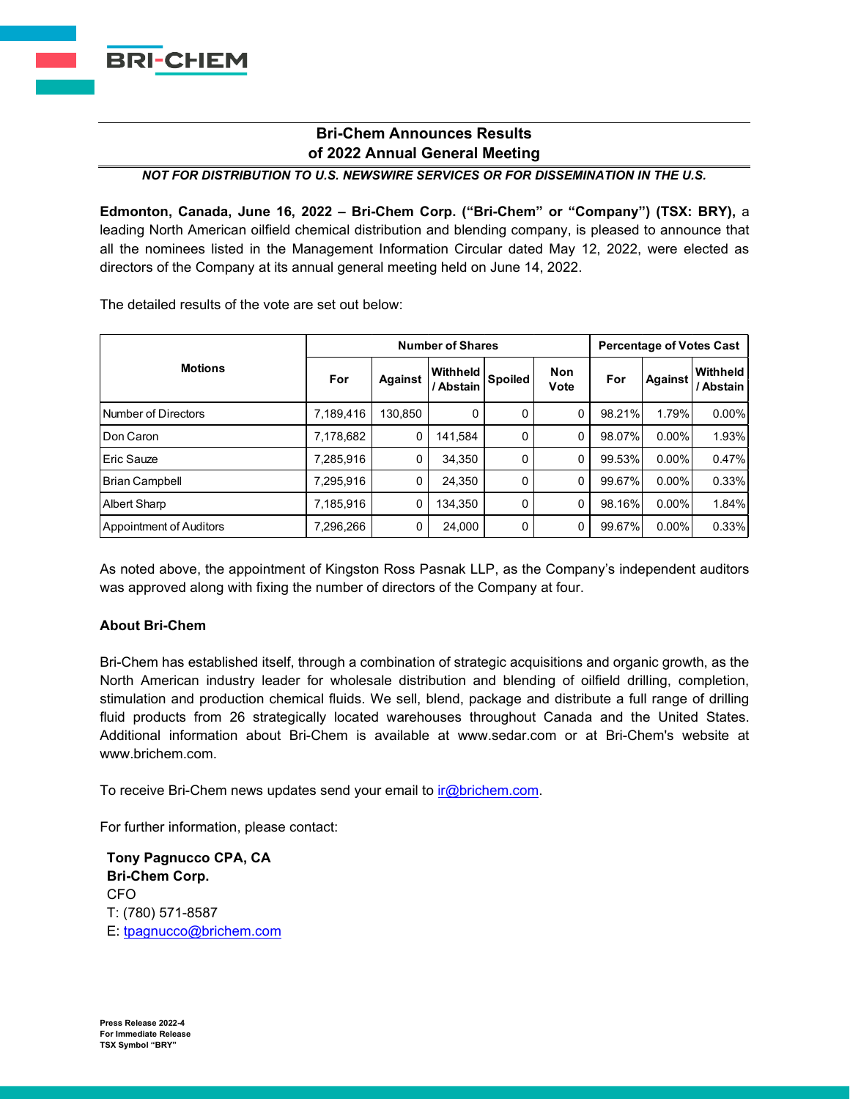## **Bri-Chem Announces Results of 2022 Annual General Meeting**

*NOT FOR DISTRIBUTION TO U.S. NEWSWIRE SERVICES OR FOR DISSEMINATION IN THE U.S.*

**Edmonton, Canada, June 16, 2022 – Bri-Chem Corp. ("Bri-Chem" or "Company") (TSX: BRY),** a leading North American oilfield chemical distribution and blending company, is pleased to announce that all the nominees listed in the Management Information Circular dated May 12, 2022, were elected as directors of the Company at its annual general meeting held on June 14, 2022.

The detailed results of the vote are set out below:

| <b>Motions</b>          | <b>Number of Shares</b> |                |                       |                |             | <b>Percentage of Votes Cast</b> |                |                       |
|-------------------------|-------------------------|----------------|-----------------------|----------------|-------------|---------------------------------|----------------|-----------------------|
|                         | For                     | <b>Against</b> | Withheld<br>/ Abstain | <b>Spoiled</b> | Non<br>Vote | For                             | <b>Against</b> | Withheld<br>' Abstain |
| Number of Directors     | 7,189,416               | 130.850        | 0                     | 0              | $\mathbf 0$ | 98.21%                          | 1.79%          | $0.00\%$              |
| <b>I</b> Don Caron      | 7,178,682               | 0              | 141.584               | $\mathbf{0}$   | 0           | 98.07%                          | $0.00\%$       | 1.93%                 |
| Eric Sauze              | 7,285,916               | 0              | 34.350                | 0              | 0           | 99.53%                          | $0.00\%$       | 0.47%                 |
| Brian Campbell          | 7,295,916               | 0              | 24,350                | 0              | 0           | 99.67%                          | $0.00\%$       | 0.33%                 |
| <b>Albert Sharp</b>     | 7,185,916               | 0              | 134.350               | 0              | 0           | 98.16%                          | $0.00\%$       | 1.84%                 |
| Appointment of Auditors | 7,296,266               | 0              | 24.000                | 0              | 0           | 99.67%                          | $0.00\%$       | 0.33%                 |

As noted above, the appointment of Kingston Ross Pasnak LLP, as the Company's independent auditors was approved along with fixing the number of directors of the Company at four.

## **About Bri-Chem**

Bri-Chem has established itself, through a combination of strategic acquisitions and organic growth, as the North American industry leader for wholesale distribution and blending of oilfield drilling, completion, stimulation and production chemical fluids. We sell, blend, package and distribute a full range of drilling fluid products from 26 strategically located warehouses throughout Canada and the United States. Additional information about Bri-Chem is available at [www.sedar.com](http://www.sedar.com/) or at Bri-Chem's website at [www.brichem.com.](http://www.brichem.com/)

To receive Bri-Chem news updates send your email to  $ir@brichem.com$ .

For further information, please contact:

**Tony Pagnucco CPA, CA Bri-Chem Corp.** CFO T: (780) 571-8587 E: [tpagnucco@brichem.com](mailto:tpagnucco@brichem.com)